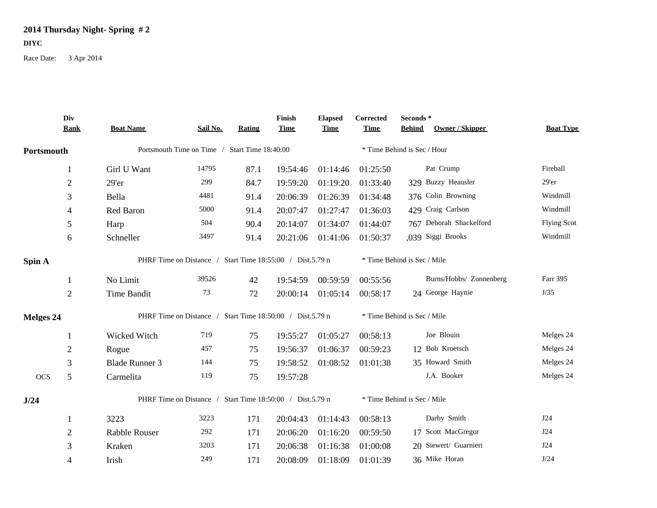## **2014 Thursday Night- Spring # 2 DIYC**

Race Date: 3 Apr 2014

|            | Div<br><b>Rank</b> | <b>Boat Name</b>                                          | Sail No.                                                  | <b>Rating</b> | Finish<br><b>Time</b> | <b>Elapsed</b><br><b>Time</b> | Corrected<br><b>Time</b>    | Seconds*<br><b>Behind</b>   | Owner / Skipper         | <b>Boat Type</b>   |  |
|------------|--------------------|-----------------------------------------------------------|-----------------------------------------------------------|---------------|-----------------------|-------------------------------|-----------------------------|-----------------------------|-------------------------|--------------------|--|
|            |                    |                                                           |                                                           |               |                       |                               |                             |                             |                         |                    |  |
| Portsmouth |                    | Portsmouth Time on Time / Start Time 18:40:00             |                                                           |               |                       |                               | * Time Behind is Sec / Hour |                             |                         |                    |  |
|            | 1                  | Girl U Want                                               | 14795                                                     | 87.1          | 19:54:46              | 01:14:46                      | 01:25:50                    | Pat Crump                   |                         | Fireball           |  |
|            | $\mathfrak{2}$     | $29'$ er                                                  | 299                                                       | 84.7          | 19:59:20              | 01:19:20                      | 01:33:40                    | 329 Buzzy Heausler          |                         | 29'er              |  |
|            | 3                  | Bella                                                     | 4481                                                      | 91.4          | 20:06:39              | 01:26:39                      | 01:34:48                    | 376 Colin Browning          |                         | Windmill           |  |
|            | 4                  | Red Baron                                                 | 5000                                                      | 91.4          | 20:07:47              | 01:27:47                      | 01:36:03                    | 429 Craig Carlson           |                         | Windmill           |  |
|            | 5                  | Harp                                                      | 504                                                       | 90.4          | 20:14:07              | 01:34:07                      | 01:44:07                    | 767 Deborah Shackelford     |                         | <b>Flying Scot</b> |  |
|            | 6                  | Schneller                                                 | 3497                                                      | 91.4          | 20:21:06              | 01:41:06                      | 01:50:37                    | .039 Siggi Brooks           |                         | Windmill           |  |
| Spin A     |                    | PHRF Time on Distance / Start Time 18:55:00 / Dist.5.79 n |                                                           |               |                       |                               | * Time Behind is Sec / Mile |                             |                         |                    |  |
|            | 1                  | No Limit                                                  | 39526                                                     | 42            | 19:54:59              | 00:59:59                      | 00:55:56                    |                             | Burns/Hobbs/ Zonnenberg | Farr 395           |  |
|            | $\overline{2}$     | <b>Time Bandit</b>                                        | 73                                                        | 72            | 20:00:14              | 01:05:14                      | 00:58:17                    | 24 George Haynie            |                         | J/35               |  |
| Melges 24  |                    |                                                           | PHRF Time on Distance / Start Time 18:50:00 / Dist.5.79 n |               |                       |                               |                             | * Time Behind is Sec / Mile |                         |                    |  |
|            | $\bf{l}$           | Wicked Witch                                              | 719                                                       | 75            | 19:55:27              | 01:05:27                      | 00:58:13                    | Joe Blouin                  |                         | Melges 24          |  |
|            | $\overline{c}$     | Rogue                                                     | 457                                                       | 75            | 19:56:37              | 01:06:37                      | 00:59:23                    | 12 Bob Kroetsch             |                         | Melges 24          |  |
|            | 3                  | <b>Blade Runner 3</b>                                     | 144                                                       | 75            | 19:58:52              | 01:08:52                      | 01:01:38                    | 35 Howard Smith             |                         | Melges 24          |  |
| <b>OCS</b> | 5                  | Carmelita                                                 | 119                                                       | 75            | 19:57:28              |                               |                             | J.A. Booker                 |                         | Melges 24          |  |
| J/24       |                    | PHRF Time on Distance / Start Time 18:50:00 / Dist.5.79 n |                                                           |               |                       | * Time Behind is Sec / Mile   |                             |                             |                         |                    |  |
|            | 1                  | 3223                                                      | 3223                                                      | 171           | 20:04:43              | 01:14:43                      | 00:58:13                    | Darby Smith                 |                         | J24                |  |
|            | $\sqrt{2}$         | Rabble Rouser                                             | 292                                                       | 171           | 20:06:20              | 01:16:20                      | 00:59:50                    | 17 Scott MacGregor          |                         | J24                |  |
|            | 3                  | Kraken                                                    | 3203                                                      | 171           | 20:06:38              | 01:16:38                      | 01:00:08                    | 20 Siewert/ Guarnieri       |                         | J24                |  |
|            | 4                  | Irish                                                     | 249                                                       | 171           | 20:08:09              | 01:18:09                      | 01:01:39                    | 36 Mike Horan               |                         | J/24               |  |